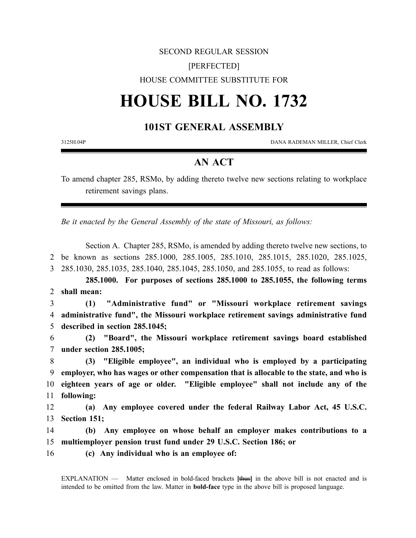## SECOND REGULAR SESSION [PERFECTED] HOUSE COMMITTEE SUBSTITUTE FOR

# **HOUSE BILL NO. 1732**

## **101ST GENERAL ASSEMBLY**

3125H.04P DANA RADEMAN MILLER, Chief Clerk

### **AN ACT**

To amend chapter 285, RSMo, by adding thereto twelve new sections relating to workplace retirement savings plans.

*Be it enacted by the General Assembly of the state of Missouri, as follows:*

Section A. Chapter 285, RSMo, is amended by adding thereto twelve new sections, to 2 be known as sections 285.1000, 285.1005, 285.1010, 285.1015, 285.1020, 285.1025, 3 285.1030, 285.1035, 285.1040, 285.1045, 285.1050, and 285.1055, to read as follows:

**285.1000. For purposes of sections 285.1000 to 285.1055, the following terms** 2 **shall mean:**

3 **(1) "Administrative fund" or "Missouri workplace retirement savings** 4 **administrative fund", the Missouri workplace retirement savings administrative fund** 5 **described in section 285.1045;**

6 **(2) "Board", the Missouri workplace retirement savings board established** 7 **under section 285.1005;**

 **(3) "Eligible employee", an individual who is employed by a participating employer, who has wages or other compensation that is allocable to the state, and who is eighteen years of age or older. "Eligible employee" shall not include any of the following:**

12 **(a) Any employee covered under the federal Railway Labor Act, 45 U.S.C.** 13 **Section 151;**

14 **(b) Any employee on whose behalf an employer makes contributions to a** 15 **multiemployer pension trust fund under 29 U.S.C. Section 186; or**

16 **(c) Any individual who is an employee of:**

EXPLANATION — Matter enclosed in bold-faced brackets **[**thus**]** in the above bill is not enacted and is intended to be omitted from the law. Matter in **bold-face** type in the above bill is proposed language.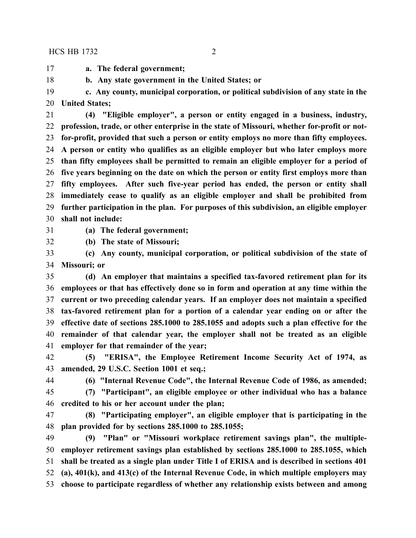**a. The federal government;**

**b. Any state government in the United States; or**

 **c. Any county, municipal corporation, or political subdivision of any state in the United States;**

 **(4) "Eligible employer", a person or entity engaged in a business, industry, profession, trade, or other enterprise in the state of Missouri, whether for-profit or not- for-profit, provided that such a person or entity employs no more than fifty employees. A person or entity who qualifies as an eligible employer but who later employs more than fifty employees shall be permitted to remain an eligible employer for a period of five years beginning on the date on which the person or entity first employs more than fifty employees. After such five-year period has ended, the person or entity shall immediately cease to qualify as an eligible employer and shall be prohibited from further participation in the plan. For purposes of this subdivision, an eligible employer shall not include:**

**(a) The federal government;**

**(b) The state of Missouri;**

 **(c) Any county, municipal corporation, or political subdivision of the state of Missouri; or**

 **(d) An employer that maintains a specified tax-favored retirement plan for its employees or that has effectively done so in form and operation at any time within the current or two preceding calendar years. If an employer does not maintain a specified tax-favored retirement plan for a portion of a calendar year ending on or after the effective date of sections 285.1000 to 285.1055 and adopts such a plan effective for the remainder of that calendar year, the employer shall not be treated as an eligible employer for that remainder of the year;**

 **(5) "ERISA", the Employee Retirement Income Security Act of 1974, as amended, 29 U.S.C. Section 1001 et seq.;**

**(6) "Internal Revenue Code", the Internal Revenue Code of 1986, as amended;**

 **(7) "Participant", an eligible employee or other individual who has a balance credited to his or her account under the plan;**

 **(8) "Participating employer", an eligible employer that is participating in the plan provided for by sections 285.1000 to 285.1055;**

 **(9) "Plan" or "Missouri workplace retirement savings plan", the multiple- employer retirement savings plan established by sections 285.1000 to 285.1055, which shall be treated as a single plan under Title I of ERISA and is described in sections 401 (a), 401(k), and 413(c) of the Internal Revenue Code, in which multiple employers may choose to participate regardless of whether any relationship exists between and among**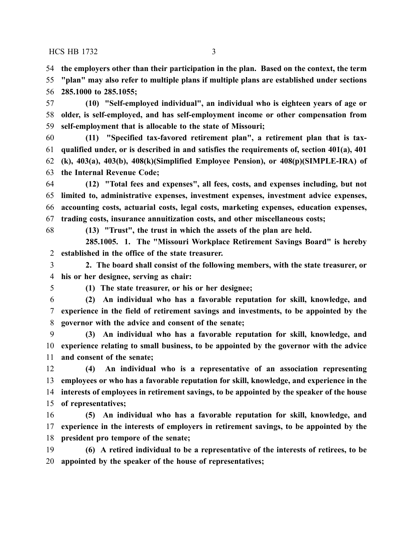**the employers other than their participation in the plan. Based on the context, the term**

 **"plan" may also refer to multiple plans if multiple plans are established under sections 285.1000 to 285.1055;**

 **(10) "Self-employed individual", an individual who is eighteen years of age or older, is self-employed, and has self-employment income or other compensation from self-employment that is allocable to the state of Missouri;**

 **(11) "Specified tax-favored retirement plan", a retirement plan that is tax- qualified under, or is described in and satisfies the requirements of, section 401(a), 401 (k), 403(a), 403(b), 408(k)(Simplified Employee Pension), or 408(p)(SIMPLE-IRA) of the Internal Revenue Code;**

 **(12) "Total fees and expenses", all fees, costs, and expenses including, but not limited to, administrative expenses, investment expenses, investment advice expenses, accounting costs, actuarial costs, legal costs, marketing expenses, education expenses, trading costs, insurance annuitization costs, and other miscellaneous costs;**

**(13) "Trust", the trust in which the assets of the plan are held.**

**285.1005. 1. The "Missouri Workplace Retirement Savings Board" is hereby established in the office of the state treasurer.**

 **2. The board shall consist of the following members, with the state treasurer, or his or her designee, serving as chair:**

**(1) The state treasurer, or his or her designee;**

 **(2) An individual who has a favorable reputation for skill, knowledge, and experience in the field of retirement savings and investments, to be appointed by the governor with the advice and consent of the senate;**

 **(3) An individual who has a favorable reputation for skill, knowledge, and experience relating to small business, to be appointed by the governor with the advice and consent of the senate;**

 **(4) An individual who is a representative of an association representing employees or who has a favorable reputation for skill, knowledge, and experience in the interests of employees in retirement savings, to be appointed by the speaker of the house of representatives;**

 **(5) An individual who has a favorable reputation for skill, knowledge, and experience in the interests of employers in retirement savings, to be appointed by the president pro tempore of the senate;**

 **(6) A retired individual to be a representative of the interests of retirees, to be appointed by the speaker of the house of representatives;**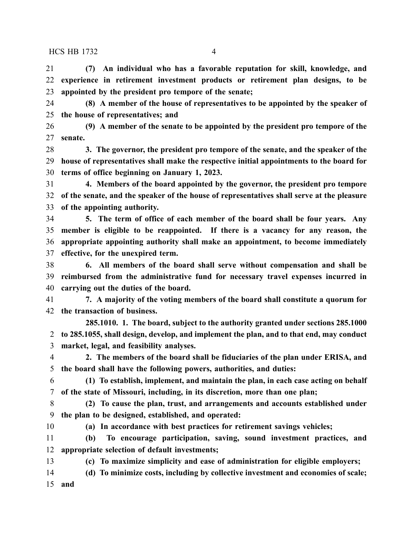**(7) An individual who has a favorable reputation for skill, knowledge, and experience in retirement investment products or retirement plan designs, to be appointed by the president pro tempore of the senate;**

 **(8) A member of the house of representatives to be appointed by the speaker of the house of representatives; and**

 **(9) A member of the senate to be appointed by the president pro tempore of the senate.**

 **3. The governor, the president pro tempore of the senate, and the speaker of the house of representatives shall make the respective initial appointments to the board for terms of office beginning on January 1, 2023.**

 **4. Members of the board appointed by the governor, the president pro tempore of the senate, and the speaker of the house of representatives shall serve at the pleasure of the appointing authority.**

 **5. The term of office of each member of the board shall be four years. Any member is eligible to be reappointed. If there is a vacancy for any reason, the appropriate appointing authority shall make an appointment, to become immediately effective, for the unexpired term.**

 **6. All members of the board shall serve without compensation and shall be reimbursed from the administrative fund for necessary travel expenses incurred in carrying out the duties of the board.**

 **7. A majority of the voting members of the board shall constitute a quorum for the transaction of business.**

**285.1010. 1. The board, subject to the authority granted under sections 285.1000 to 285.1055, shall design, develop, and implement the plan, and to that end, may conduct market, legal, and feasibility analyses.**

 **2. The members of the board shall be fiduciaries of the plan under ERISA, and the board shall have the following powers, authorities, and duties:**

 **(1) To establish, implement, and maintain the plan, in each case acting on behalf of the state of Missouri, including, in its discretion, more than one plan;**

 **(2) To cause the plan, trust, and arrangements and accounts established under the plan to be designed, established, and operated:**

**(a) In accordance with best practices for retirement savings vehicles;**

 **(b) To encourage participation, saving, sound investment practices, and appropriate selection of default investments;**

**(c) To maximize simplicity and ease of administration for eligible employers;**

**(d) To minimize costs, including by collective investment and economies of scale;**

**and**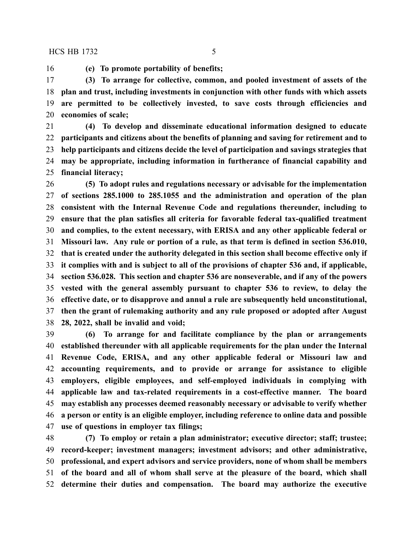**(e) To promote portability of benefits;**

 **(3) To arrange for collective, common, and pooled investment of assets of the plan and trust, including investments in conjunction with other funds with which assets are permitted to be collectively invested, to save costs through efficiencies and economies of scale;**

 **(4) To develop and disseminate educational information designed to educate participants and citizens about the benefits of planning and saving for retirement and to help participants and citizens decide the level of participation and savings strategies that may be appropriate, including information in furtherance of financial capability and financial literacy;**

 **(5) To adopt rules and regulations necessary or advisable for the implementation of sections 285.1000 to 285.1055 and the administration and operation of the plan consistent with the Internal Revenue Code and regulations thereunder, including to ensure that the plan satisfies all criteria for favorable federal tax-qualified treatment and complies, to the extent necessary, with ERISA and any other applicable federal or Missouri law. Any rule or portion of a rule, as that term is defined in section 536.010, that is created under the authority delegated in this section shall become effective only if it complies with and is subject to all of the provisions of chapter 536 and, if applicable, section 536.028. This section and chapter 536 are nonseverable, and if any of the powers vested with the general assembly pursuant to chapter 536 to review, to delay the effective date, or to disapprove and annul a rule are subsequently held unconstitutional, then the grant of rulemaking authority and any rule proposed or adopted after August 28, 2022, shall be invalid and void;**

 **(6) To arrange for and facilitate compliance by the plan or arrangements established thereunder with all applicable requirements for the plan under the Internal Revenue Code, ERISA, and any other applicable federal or Missouri law and accounting requirements, and to provide or arrange for assistance to eligible employers, eligible employees, and self-employed individuals in complying with applicable law and tax-related requirements in a cost-effective manner. The board may establish any processes deemed reasonably necessary or advisable to verify whether a person or entity is an eligible employer, including reference to online data and possible use of questions in employer tax filings;**

 **(7) To employ or retain a plan administrator; executive director; staff; trustee; record-keeper; investment managers; investment advisors; and other administrative, professional, and expert advisors and service providers, none of whom shall be members of the board and all of whom shall serve at the pleasure of the board, which shall determine their duties and compensation. The board may authorize the executive**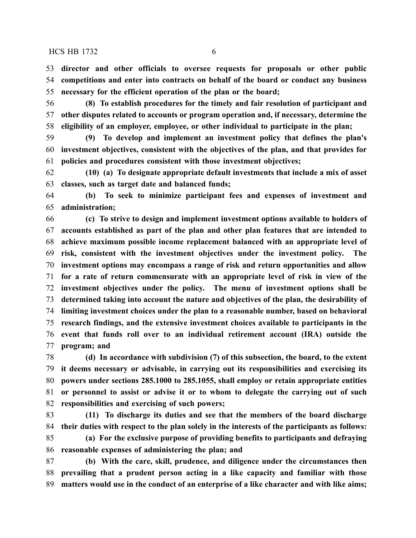**director and other officials to oversee requests for proposals or other public competitions and enter into contracts on behalf of the board or conduct any business necessary for the efficient operation of the plan or the board;**

 **(8) To establish procedures for the timely and fair resolution of participant and other disputes related to accounts or program operation and, if necessary, determine the eligibility of an employer, employee, or other individual to participate in the plan;**

 **(9) To develop and implement an investment policy that defines the plan's investment objectives, consistent with the objectives of the plan, and that provides for policies and procedures consistent with those investment objectives;**

 **(10) (a) To designate appropriate default investments that include a mix of asset classes, such as target date and balanced funds;**

 **(b) To seek to minimize participant fees and expenses of investment and administration;**

 **(c) To strive to design and implement investment options available to holders of accounts established as part of the plan and other plan features that are intended to achieve maximum possible income replacement balanced with an appropriate level of risk, consistent with the investment objectives under the investment policy. The investment options may encompass a range of risk and return opportunities and allow for a rate of return commensurate with an appropriate level of risk in view of the investment objectives under the policy. The menu of investment options shall be determined taking into account the nature and objectives of the plan, the desirability of limiting investment choices under the plan to a reasonable number, based on behavioral research findings, and the extensive investment choices available to participants in the event that funds roll over to an individual retirement account (IRA) outside the program; and**

 **(d) In accordance with subdivision (7) of this subsection, the board, to the extent it deems necessary or advisable, in carrying out its responsibilities and exercising its powers under sections 285.1000 to 285.1055, shall employ or retain appropriate entities or personnel to assist or advise it or to whom to delegate the carrying out of such responsibilities and exercising of such powers;**

 **(11) To discharge its duties and see that the members of the board discharge their duties with respect to the plan solely in the interests of the participants as follows:**

 **(a) For the exclusive purpose of providing benefits to participants and defraying reasonable expenses of administering the plan; and**

 **(b) With the care, skill, prudence, and diligence under the circumstances then prevailing that a prudent person acting in a like capacity and familiar with those matters would use in the conduct of an enterprise of a like character and with like aims;**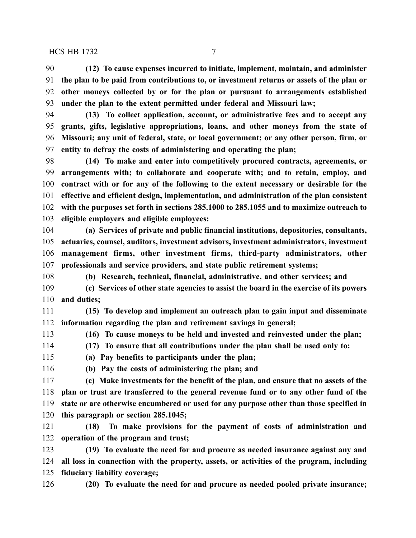**(12) To cause expenses incurred to initiate, implement, maintain, and administer the plan to be paid from contributions to, or investment returns or assets of the plan or other moneys collected by or for the plan or pursuant to arrangements established under the plan to the extent permitted under federal and Missouri law;**

 **(13) To collect application, account, or administrative fees and to accept any grants, gifts, legislative appropriations, loans, and other moneys from the state of Missouri; any unit of federal, state, or local government; or any other person, firm, or entity to defray the costs of administering and operating the plan;**

 **(14) To make and enter into competitively procured contracts, agreements, or arrangements with; to collaborate and cooperate with; and to retain, employ, and contract with or for any of the following to the extent necessary or desirable for the effective and efficient design, implementation, and administration of the plan consistent with the purposes set forth in sections 285.1000 to 285.1055 and to maximize outreach to eligible employers and eligible employees:**

 **(a) Services of private and public financial institutions, depositories, consultants, actuaries, counsel, auditors, investment advisors, investment administrators, investment management firms, other investment firms, third-party administrators, other professionals and service providers, and state public retirement systems;**

**(b) Research, technical, financial, administrative, and other services; and**

 **(c) Services of other state agencies to assist the board in the exercise of its powers and duties;**

 **(15) To develop and implement an outreach plan to gain input and disseminate information regarding the plan and retirement savings in general;**

 **(16) To cause moneys to be held and invested and reinvested under the plan; (17) To ensure that all contributions under the plan shall be used only to:**

**(a) Pay benefits to participants under the plan;**

**(b) Pay the costs of administering the plan; and**

 **(c) Make investments for the benefit of the plan, and ensure that no assets of the plan or trust are transferred to the general revenue fund or to any other fund of the state or are otherwise encumbered or used for any purpose other than those specified in this paragraph or section 285.1045;**

 **(18) To make provisions for the payment of costs of administration and operation of the program and trust;**

 **(19) To evaluate the need for and procure as needed insurance against any and all loss in connection with the property, assets, or activities of the program, including fiduciary liability coverage;**

**(20) To evaluate the need for and procure as needed pooled private insurance;**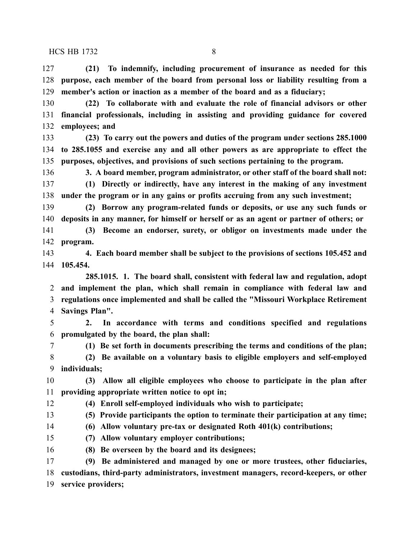**(21) To indemnify, including procurement of insurance as needed for this purpose, each member of the board from personal loss or liability resulting from a member's action or inaction as a member of the board and as a fiduciary;**

 **(22) To collaborate with and evaluate the role of financial advisors or other financial professionals, including in assisting and providing guidance for covered employees; and**

 **(23) To carry out the powers and duties of the program under sections 285.1000 to 285.1055 and exercise any and all other powers as are appropriate to effect the purposes, objectives, and provisions of such sections pertaining to the program.**

 **3. A board member, program administrator, or other staff of the board shall not: (1) Directly or indirectly, have any interest in the making of any investment under the program or in any gains or profits accruing from any such investment;**

 **(2) Borrow any program-related funds or deposits, or use any such funds or deposits in any manner, for himself or herself or as an agent or partner of others; or**

 **(3) Become an endorser, surety, or obligor on investments made under the program.**

 **4. Each board member shall be subject to the provisions of sections 105.452 and 105.454.**

**285.1015. 1. The board shall, consistent with federal law and regulation, adopt and implement the plan, which shall remain in compliance with federal law and regulations once implemented and shall be called the "Missouri Workplace Retirement Savings Plan".**

 **2. In accordance with terms and conditions specified and regulations promulgated by the board, the plan shall:**

**(1) Be set forth in documents prescribing the terms and conditions of the plan;**

 **(2) Be available on a voluntary basis to eligible employers and self-employed individuals;**

 **(3) Allow all eligible employees who choose to participate in the plan after providing appropriate written notice to opt in;**

**(4) Enroll self-employed individuals who wish to participate;**

**(5) Provide participants the option to terminate their participation at any time;**

**(6) Allow voluntary pre-tax or designated Roth 401(k) contributions;**

**(7) Allow voluntary employer contributions;**

**(8) Be overseen by the board and its designees;**

 **(9) Be administered and managed by one or more trustees, other fiduciaries, custodians, third-party administrators, investment managers, record-keepers, or other service providers;**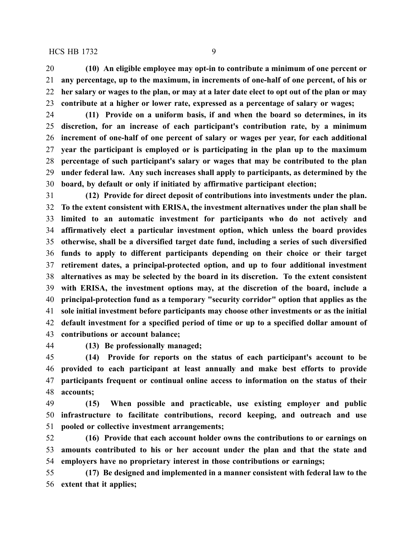**(10) An eligible employee may opt-in to contribute a minimum of one percent or any percentage, up to the maximum, in increments of one-half of one percent, of his or** 22 her salary or wages to the plan, or may at a later date elect to opt out of the plan or may **contribute at a higher or lower rate, expressed as a percentage of salary or wages;**

 **(11) Provide on a uniform basis, if and when the board so determines, in its discretion, for an increase of each participant's contribution rate, by a minimum increment of one-half of one percent of salary or wages per year, for each additional year the participant is employed or is participating in the plan up to the maximum percentage of such participant's salary or wages that may be contributed to the plan under federal law. Any such increases shall apply to participants, as determined by the board, by default or only if initiated by affirmative participant election;**

 **(12) Provide for direct deposit of contributions into investments under the plan. To the extent consistent with ERISA, the investment alternatives under the plan shall be limited to an automatic investment for participants who do not actively and affirmatively elect a particular investment option, which unless the board provides otherwise, shall be a diversified target date fund, including a series of such diversified funds to apply to different participants depending on their choice or their target retirement dates, a principal-protected option, and up to four additional investment alternatives as may be selected by the board in its discretion. To the extent consistent with ERISA, the investment options may, at the discretion of the board, include a principal-protection fund as a temporary "security corridor" option that applies as the sole initial investment before participants may choose other investments or as the initial default investment for a specified period of time or up to a specified dollar amount of contributions or account balance;**

**(13) Be professionally managed;**

 **(14) Provide for reports on the status of each participant's account to be provided to each participant at least annually and make best efforts to provide participants frequent or continual online access to information on the status of their accounts;**

 **(15) When possible and practicable, use existing employer and public infrastructure to facilitate contributions, record keeping, and outreach and use pooled or collective investment arrangements;**

 **(16) Provide that each account holder owns the contributions to or earnings on amounts contributed to his or her account under the plan and that the state and employers have no proprietary interest in those contributions or earnings;**

 **(17) Be designed and implemented in a manner consistent with federal law to the extent that it applies;**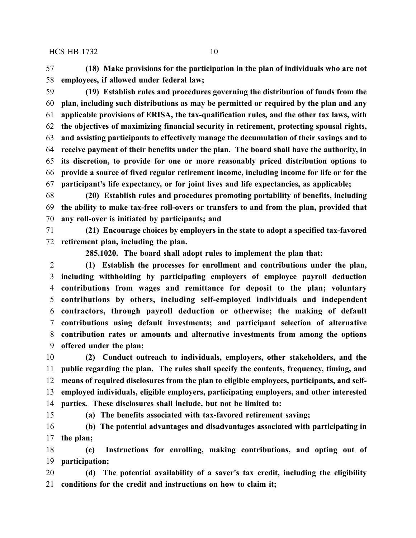**(18) Make provisions for the participation in the plan of individuals who are not employees, if allowed under federal law;**

 **(19) Establish rules and procedures governing the distribution of funds from the plan, including such distributions as may be permitted or required by the plan and any applicable provisions of ERISA, the tax-qualification rules, and the other tax laws, with the objectives of maximizing financial security in retirement, protecting spousal rights, and assisting participants to effectively manage the decumulation of their savings and to receive payment of their benefits under the plan. The board shall have the authority, in its discretion, to provide for one or more reasonably priced distribution options to provide a source of fixed regular retirement income, including income for life or for the participant's life expectancy, or for joint lives and life expectancies, as applicable;**

 **(20) Establish rules and procedures promoting portability of benefits, including the ability to make tax-free roll-overs or transfers to and from the plan, provided that any roll-over is initiated by participants; and**

 **(21) Encourage choices by employers in the state to adopt a specified tax-favored retirement plan, including the plan.**

**285.1020. The board shall adopt rules to implement the plan that:**

 **(1) Establish the processes for enrollment and contributions under the plan, including withholding by participating employers of employee payroll deduction contributions from wages and remittance for deposit to the plan; voluntary contributions by others, including self-employed individuals and independent contractors, through payroll deduction or otherwise; the making of default contributions using default investments; and participant selection of alternative contribution rates or amounts and alternative investments from among the options offered under the plan;**

 **(2) Conduct outreach to individuals, employers, other stakeholders, and the public regarding the plan. The rules shall specify the contents, frequency, timing, and means of required disclosures from the plan to eligible employees, participants, and self- employed individuals, eligible employers, participating employers, and other interested parties. These disclosures shall include, but not be limited to:**

**(a) The benefits associated with tax-favored retirement saving;**

 **(b) The potential advantages and disadvantages associated with participating in the plan;**

 **(c) Instructions for enrolling, making contributions, and opting out of participation;**

 **(d) The potential availability of a saver's tax credit, including the eligibility conditions for the credit and instructions on how to claim it;**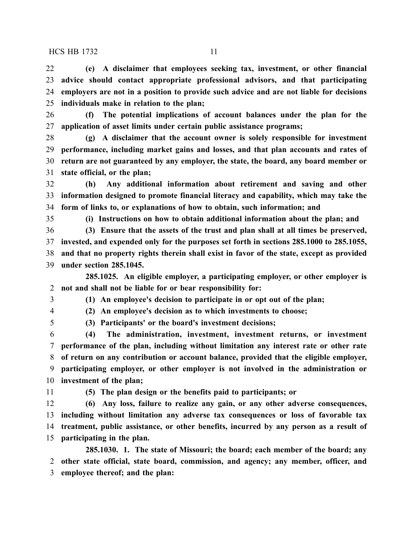**(e) A disclaimer that employees seeking tax, investment, or other financial advice should contact appropriate professional advisors, and that participating employers are not in a position to provide such advice and are not liable for decisions individuals make in relation to the plan;**

 **(f) The potential implications of account balances under the plan for the application of asset limits under certain public assistance programs;**

 **(g) A disclaimer that the account owner is solely responsible for investment performance, including market gains and losses, and that plan accounts and rates of return are not guaranteed by any employer, the state, the board, any board member or state official, or the plan;**

 **(h) Any additional information about retirement and saving and other information designed to promote financial literacy and capability, which may take the form of links to, or explanations of how to obtain, such information; and**

**(i) Instructions on how to obtain additional information about the plan; and**

 **(3) Ensure that the assets of the trust and plan shall at all times be preserved, invested, and expended only for the purposes set forth in sections 285.1000 to 285.1055, and that no property rights therein shall exist in favor of the state, except as provided under section 285.1045.**

**285.1025. An eligible employer, a participating employer, or other employer is not and shall not be liable for or bear responsibility for:**

**(1) An employee's decision to participate in or opt out of the plan;**

**(2) An employee's decision as to which investments to choose;**

**(3) Participants' or the board's investment decisions;**

 **(4) The administration, investment, investment returns, or investment performance of the plan, including without limitation any interest rate or other rate of return on any contribution or account balance, provided that the eligible employer, participating employer, or other employer is not involved in the administration or investment of the plan;**

**(5) The plan design or the benefits paid to participants; or**

 **(6) Any loss, failure to realize any gain, or any other adverse consequences, including without limitation any adverse tax consequences or loss of favorable tax treatment, public assistance, or other benefits, incurred by any person as a result of participating in the plan.**

**285.1030. 1. The state of Missouri; the board; each member of the board; any other state official, state board, commission, and agency; any member, officer, and employee thereof; and the plan:**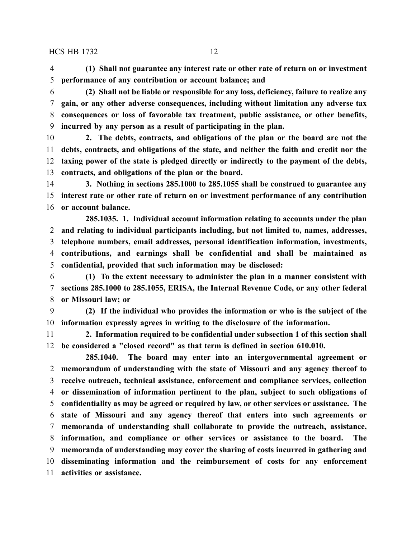**(1) Shall not guarantee any interest rate or other rate of return on or investment performance of any contribution or account balance; and**

 **(2) Shall not be liable or responsible for any loss, deficiency, failure to realize any gain, or any other adverse consequences, including without limitation any adverse tax consequences or loss of favorable tax treatment, public assistance, or other benefits, incurred by any person as a result of participating in the plan.**

 **2. The debts, contracts, and obligations of the plan or the board are not the debts, contracts, and obligations of the state, and neither the faith and credit nor the taxing power of the state is pledged directly or indirectly to the payment of the debts, contracts, and obligations of the plan or the board.**

 **3. Nothing in sections 285.1000 to 285.1055 shall be construed to guarantee any interest rate or other rate of return on or investment performance of any contribution or account balance.**

**285.1035. 1. Individual account information relating to accounts under the plan and relating to individual participants including, but not limited to, names, addresses, telephone numbers, email addresses, personal identification information, investments, contributions, and earnings shall be confidential and shall be maintained as confidential, provided that such information may be disclosed:**

 **(1) To the extent necessary to administer the plan in a manner consistent with sections 285.1000 to 285.1055, ERISA, the Internal Revenue Code, or any other federal or Missouri law; or**

 **(2) If the individual who provides the information or who is the subject of the information expressly agrees in writing to the disclosure of the information.**

 **2. Information required to be confidential under subsection 1 of this section shall be considered a "closed record" as that term is defined in section 610.010.**

**285.1040. The board may enter into an intergovernmental agreement or memorandum of understanding with the state of Missouri and any agency thereof to receive outreach, technical assistance, enforcement and compliance services, collection or dissemination of information pertinent to the plan, subject to such obligations of confidentiality as may be agreed or required by law, or other services or assistance. The state of Missouri and any agency thereof that enters into such agreements or memoranda of understanding shall collaborate to provide the outreach, assistance, information, and compliance or other services or assistance to the board. The memoranda of understanding may cover the sharing of costs incurred in gathering and disseminating information and the reimbursement of costs for any enforcement activities or assistance.**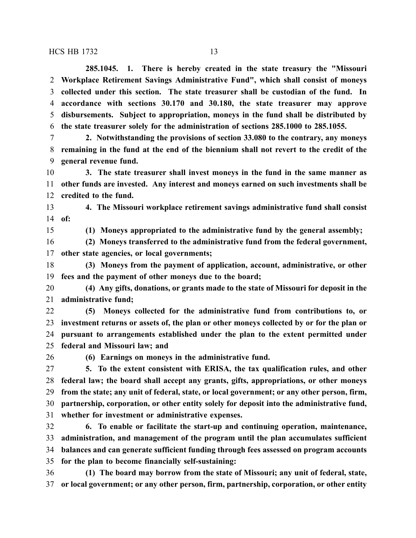**285.1045. 1. There is hereby created in the state treasury the "Missouri Workplace Retirement Savings Administrative Fund", which shall consist of moneys collected under this section. The state treasurer shall be custodian of the fund. In accordance with sections 30.170 and 30.180, the state treasurer may approve disbursements. Subject to appropriation, moneys in the fund shall be distributed by the state treasurer solely for the administration of sections 285.1000 to 285.1055.**

 **2. Notwithstanding the provisions of section 33.080 to the contrary, any moneys remaining in the fund at the end of the biennium shall not revert to the credit of the general revenue fund.**

 **3. The state treasurer shall invest moneys in the fund in the same manner as other funds are invested. Any interest and moneys earned on such investments shall be credited to the fund.**

 **4. The Missouri workplace retirement savings administrative fund shall consist of:**

**(1) Moneys appropriated to the administrative fund by the general assembly;**

 **(2) Moneys transferred to the administrative fund from the federal government, other state agencies, or local governments;**

 **(3) Moneys from the payment of application, account, administrative, or other fees and the payment of other moneys due to the board;**

 **(4) Any gifts, donations, or grants made to the state of Missouri for deposit in the administrative fund;**

 **(5) Moneys collected for the administrative fund from contributions to, or investment returns or assets of, the plan or other moneys collected by or for the plan or pursuant to arrangements established under the plan to the extent permitted under federal and Missouri law; and**

**(6) Earnings on moneys in the administrative fund.**

 **5. To the extent consistent with ERISA, the tax qualification rules, and other federal law; the board shall accept any grants, gifts, appropriations, or other moneys from the state; any unit of federal, state, or local government; or any other person, firm, partnership, corporation, or other entity solely for deposit into the administrative fund, whether for investment or administrative expenses.**

 **6. To enable or facilitate the start-up and continuing operation, maintenance, administration, and management of the program until the plan accumulates sufficient balances and can generate sufficient funding through fees assessed on program accounts for the plan to become financially self-sustaining:**

 **(1) The board may borrow from the state of Missouri; any unit of federal, state, or local government; or any other person, firm, partnership, corporation, or other entity**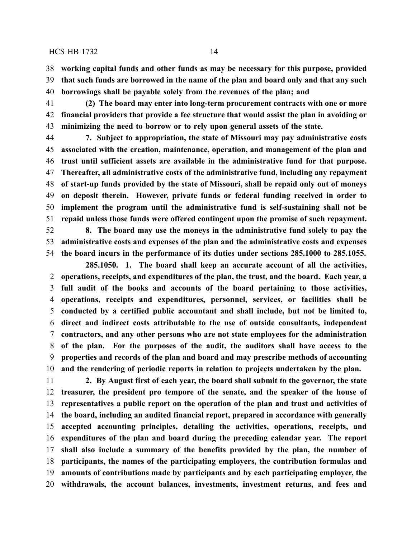**working capital funds and other funds as may be necessary for this purpose, provided that such funds are borrowed in the name of the plan and board only and that any such borrowings shall be payable solely from the revenues of the plan; and**

 **(2) The board may enter into long-term procurement contracts with one or more financial providers that provide a fee structure that would assist the plan in avoiding or minimizing the need to borrow or to rely upon general assets of the state.**

 **7. Subject to appropriation, the state of Missouri may pay administrative costs associated with the creation, maintenance, operation, and management of the plan and trust until sufficient assets are available in the administrative fund for that purpose. Thereafter, all administrative costs of the administrative fund, including any repayment of start-up funds provided by the state of Missouri, shall be repaid only out of moneys on deposit therein. However, private funds or federal funding received in order to implement the program until the administrative fund is self-sustaining shall not be repaid unless those funds were offered contingent upon the promise of such repayment.**

 **8. The board may use the moneys in the administrative fund solely to pay the administrative costs and expenses of the plan and the administrative costs and expenses the board incurs in the performance of its duties under sections 285.1000 to 285.1055.**

**285.1050. 1. The board shall keep an accurate account of all the activities, operations, receipts, and expenditures of the plan, the trust, and the board. Each year, a full audit of the books and accounts of the board pertaining to those activities, operations, receipts and expenditures, personnel, services, or facilities shall be conducted by a certified public accountant and shall include, but not be limited to, direct and indirect costs attributable to the use of outside consultants, independent contractors, and any other persons who are not state employees for the administration of the plan. For the purposes of the audit, the auditors shall have access to the properties and records of the plan and board and may prescribe methods of accounting and the rendering of periodic reports in relation to projects undertaken by the plan.**

 **2. By August first of each year, the board shall submit to the governor, the state treasurer, the president pro tempore of the senate, and the speaker of the house of representatives a public report on the operation of the plan and trust and activities of the board, including an audited financial report, prepared in accordance with generally accepted accounting principles, detailing the activities, operations, receipts, and expenditures of the plan and board during the preceding calendar year. The report shall also include a summary of the benefits provided by the plan, the number of participants, the names of the participating employers, the contribution formulas and amounts of contributions made by participants and by each participating employer, the withdrawals, the account balances, investments, investment returns, and fees and**